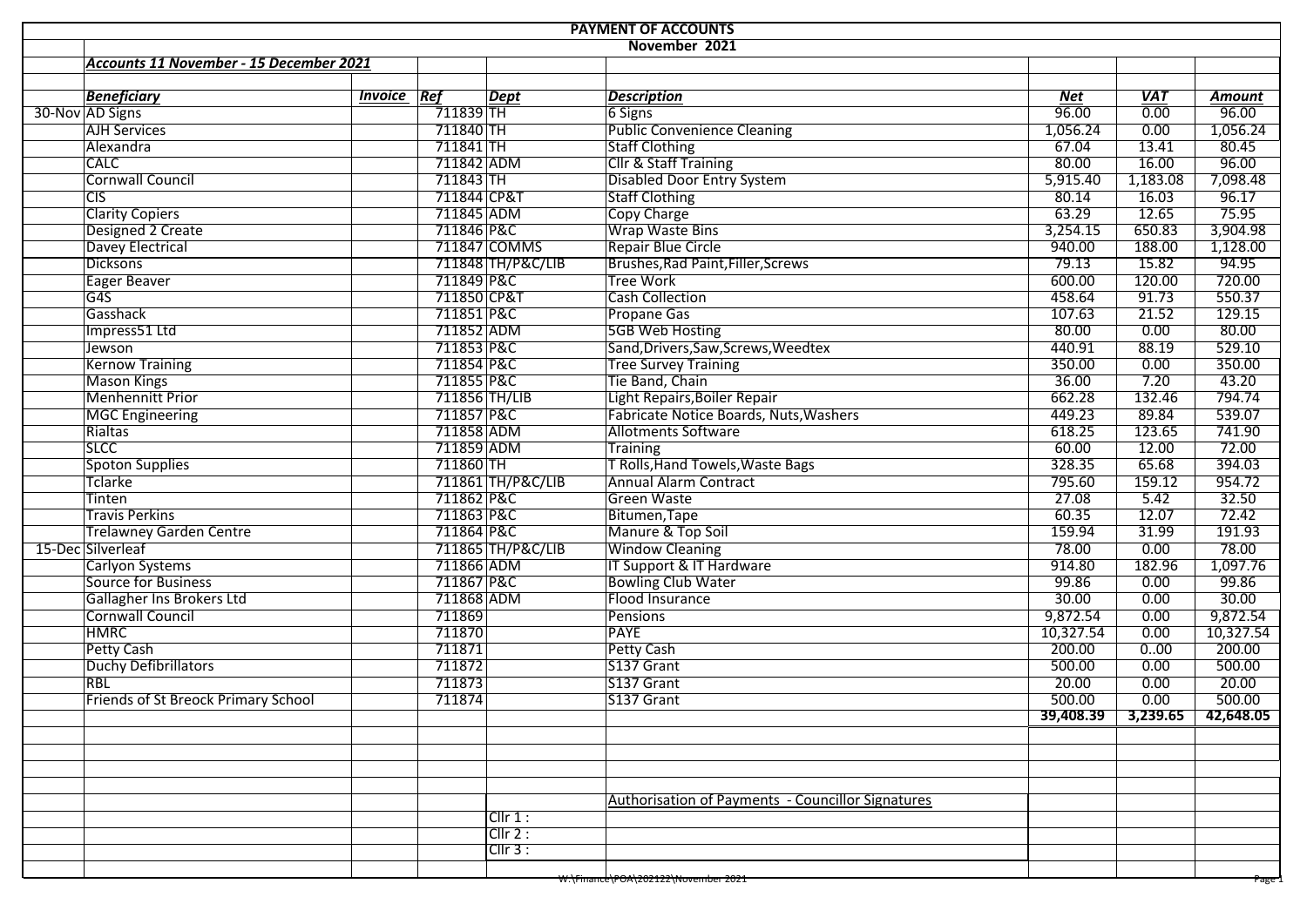| <b>PAYMENT OF ACCOUNTS</b> |                                            |                    |                   |                                                          |            |            |                                |  |  |  |  |  |  |  |
|----------------------------|--------------------------------------------|--------------------|-------------------|----------------------------------------------------------|------------|------------|--------------------------------|--|--|--|--|--|--|--|
|                            | November 2021                              |                    |                   |                                                          |            |            |                                |  |  |  |  |  |  |  |
|                            | Accounts 11 November - 15 December 2021    |                    |                   |                                                          |            |            |                                |  |  |  |  |  |  |  |
|                            |                                            |                    |                   |                                                          |            |            |                                |  |  |  |  |  |  |  |
|                            | <b>Beneficiary</b>                         | <b>Invoice</b> Ref | Dept              | <b>Description</b>                                       | <b>Net</b> | <b>VAT</b> | <b>Amount</b>                  |  |  |  |  |  |  |  |
|                            | 30-Nov AD Signs                            | 711839 TH          |                   | 6 Signs                                                  | 96.00      | 0.00       | 96.00                          |  |  |  |  |  |  |  |
|                            | <b>AJH Services</b>                        | 711840 TH          |                   | <b>Public Convenience Cleaning</b>                       | 1,056.24   | 0.00       | 1,056.24                       |  |  |  |  |  |  |  |
|                            | Alexandra                                  | 711841 TH          |                   | <b>Staff Clothing</b>                                    | 67.04      | 13.41      | 80.45                          |  |  |  |  |  |  |  |
|                            | <b>CALC</b>                                | 711842 ADM         |                   | Cllr & Staff Training                                    | 80.00      | 16.00      | 96.00                          |  |  |  |  |  |  |  |
|                            | <b>Cornwall Council</b>                    | 711843 TH          |                   | <b>Disabled Door Entry System</b>                        | 5,915.40   | 1,183.08   | 7,098.48                       |  |  |  |  |  |  |  |
|                            | CIS                                        | 711844 CP&T        |                   | <b>Staff Clothing</b>                                    | 80.14      | 16.03      | 96.17                          |  |  |  |  |  |  |  |
|                            | <b>Clarity Copiers</b>                     | 711845 ADM         |                   | <b>Copy Charge</b>                                       | 63.29      | 12.65      | 75.95                          |  |  |  |  |  |  |  |
|                            | Designed 2 Create                          | 711846 P&C         |                   | Wrap Waste Bins                                          | 3,254.15   | 650.83     | 3,904.98                       |  |  |  |  |  |  |  |
|                            | Davey Electrical                           |                    | 711847 COMMS      | Repair Blue Circle                                       | 940.00     | 188.00     | 1,128.00                       |  |  |  |  |  |  |  |
|                            | Dicksons                                   |                    | 711848 TH/P&C/LIB | Brushes, Rad Paint, Filler, Screws                       | 79.13      | 15.82      | 94.95                          |  |  |  |  |  |  |  |
|                            | Eager Beaver                               | 711849 P&C         |                   | <b>Tree Work</b>                                         | 600.00     | 120.00     | 720.00                         |  |  |  |  |  |  |  |
|                            | G4S                                        | 711850 CP&T        |                   | <b>Cash Collection</b>                                   | 458.64     | 91.73      | 550.37                         |  |  |  |  |  |  |  |
|                            | Gasshack                                   | 711851 P&C         |                   | Propane Gas                                              | 107.63     | 21.52      | 129.15                         |  |  |  |  |  |  |  |
|                            | Impress51 Ltd                              | 711852 ADM         |                   | <b>5GB Web Hosting</b>                                   | 80.00      | 0.00       | 80.00                          |  |  |  |  |  |  |  |
|                            | Jewson                                     | 711853 P&C         |                   | Sand, Drivers, Saw, Screws, Weedtex                      | 440.91     | 88.19      | 529.10                         |  |  |  |  |  |  |  |
|                            | <b>Kernow Training</b>                     | 711854 P&C         |                   | <b>Tree Survey Training</b>                              | 350.00     | 0.00       | 350.00                         |  |  |  |  |  |  |  |
|                            | <b>Mason Kings</b>                         | 711855 P&C         |                   | Tie Band, Chain                                          | 36.00      | 7.20       | 43.20                          |  |  |  |  |  |  |  |
|                            | Menhennitt Prior                           |                    | 711856 TH/LIB     | Light Repairs, Boiler Repair                             | 662.28     | 132.46     | 794.74                         |  |  |  |  |  |  |  |
|                            | <b>MGC Engineering</b>                     | 711857 P&C         |                   | Fabricate Notice Boards, Nuts, Washers                   | 449.23     | 89.84      | 539.07                         |  |  |  |  |  |  |  |
|                            | Rialtas                                    | 711858 ADM         |                   | <b>Allotments Software</b>                               | 618.25     | 123.65     | 741.90                         |  |  |  |  |  |  |  |
|                            | <b>SLCC</b>                                | 711859 ADM         |                   | <b>Training</b>                                          | 60.00      | 12.00      | 72.00                          |  |  |  |  |  |  |  |
|                            | <b>Spoton Supplies</b>                     | 711860 TH          |                   | T Rolls, Hand Towels, Waste Bags                         | 328.35     | 65.68      | 394.03                         |  |  |  |  |  |  |  |
|                            | Tclarke                                    |                    | 711861 TH/P&C/LIB | <b>Annual Alarm Contract</b>                             | 795.60     | 159.12     | 954.72                         |  |  |  |  |  |  |  |
|                            | Tinten                                     | 711862 P&C         |                   | <b>Green Waste</b>                                       | 27.08      | 5.42       | 32.50                          |  |  |  |  |  |  |  |
|                            | <b>Travis Perkins</b>                      | 711863 P&C         |                   | Bitumen, Tape                                            | 60.35      | 12.07      | 72.42                          |  |  |  |  |  |  |  |
|                            | <b>Trelawney Garden Centre</b>             | 711864 P&C         |                   | Manure & Top Soil                                        | 159.94     | 31.99      | 191.93                         |  |  |  |  |  |  |  |
|                            | 15-Dec Silverleaf                          |                    | 711865 TH/P&C/LIB | <b>Window Cleaning</b>                                   | 78.00      | 0.00       | 78.00                          |  |  |  |  |  |  |  |
|                            | Carlyon Systems                            | 711866 ADM         |                   | IT Support & IT Hardware                                 | 914.80     | 182.96     | 1,097.76                       |  |  |  |  |  |  |  |
|                            | Source for Business                        | 711867 P&C         |                   | <b>Bowling Club Water</b>                                | 99.86      | 0.00       | 99.86                          |  |  |  |  |  |  |  |
|                            | Gallagher Ins Brokers Ltd                  | 711868 ADM         |                   | Flood Insurance                                          | 30.00      | 0.00       | 30.00                          |  |  |  |  |  |  |  |
|                            | <b>Cornwall Council</b>                    | 711869             |                   | <b>Pensions</b>                                          | 9,872.54   | 0.00       | 9,872.54                       |  |  |  |  |  |  |  |
|                            | <b>HMRC</b>                                | 711870             |                   | PAYE                                                     | 10,327.54  | 0.00       | 10,327.54                      |  |  |  |  |  |  |  |
|                            | Petty Cash                                 | 711871             |                   | <b>Petty Cash</b>                                        | 200.00     | 0.00       | 200.00                         |  |  |  |  |  |  |  |
|                            | Duchy Defibrillators                       | 711872             |                   | S137 Grant                                               | 500.00     | 0.00       | 500.00                         |  |  |  |  |  |  |  |
|                            | <b>RBL</b>                                 | 711873             |                   | S137 Grant                                               | 20.00      | 0.00       | 20.00                          |  |  |  |  |  |  |  |
|                            | <b>Friends of St Breock Primary School</b> | 711874             |                   | S137 Grant                                               | 500.00     | 0.00       | 500.00                         |  |  |  |  |  |  |  |
|                            |                                            |                    |                   |                                                          |            |            | $39,408.39$ 3,239.65 42,648.05 |  |  |  |  |  |  |  |
|                            |                                            |                    |                   |                                                          |            |            |                                |  |  |  |  |  |  |  |
|                            |                                            |                    |                   |                                                          |            |            |                                |  |  |  |  |  |  |  |
|                            |                                            |                    |                   |                                                          |            |            |                                |  |  |  |  |  |  |  |
|                            |                                            |                    |                   |                                                          |            |            |                                |  |  |  |  |  |  |  |
|                            |                                            |                    |                   |                                                          |            |            |                                |  |  |  |  |  |  |  |
|                            |                                            |                    | Cllr 1:           | <b>Authorisation of Payments - Councillor Signatures</b> |            |            |                                |  |  |  |  |  |  |  |
|                            |                                            |                    | Clir 2:           |                                                          |            |            |                                |  |  |  |  |  |  |  |
|                            |                                            |                    | CIIr3:            |                                                          |            |            |                                |  |  |  |  |  |  |  |
|                            |                                            |                    |                   |                                                          |            |            |                                |  |  |  |  |  |  |  |
|                            |                                            |                    |                   | W:\Finance\POA\202122\November 2021                      |            |            | Page 1                         |  |  |  |  |  |  |  |